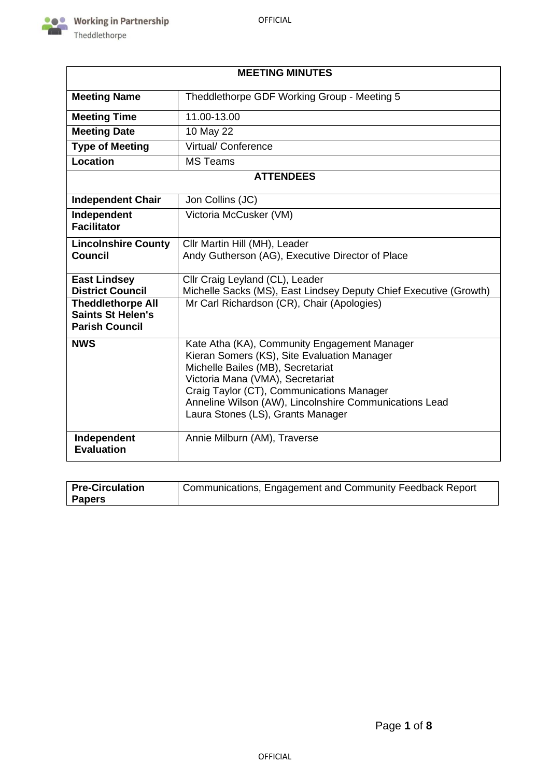

| <b>MEETING MINUTES</b>                                                        |                                                                                                                                                                                                                                                                                                                  |  |  |  |
|-------------------------------------------------------------------------------|------------------------------------------------------------------------------------------------------------------------------------------------------------------------------------------------------------------------------------------------------------------------------------------------------------------|--|--|--|
| <b>Meeting Name</b>                                                           | Theddlethorpe GDF Working Group - Meeting 5                                                                                                                                                                                                                                                                      |  |  |  |
| <b>Meeting Time</b>                                                           | 11.00-13.00                                                                                                                                                                                                                                                                                                      |  |  |  |
| <b>Meeting Date</b>                                                           | 10 May 22                                                                                                                                                                                                                                                                                                        |  |  |  |
| <b>Type of Meeting</b>                                                        | <b>Virtual/ Conference</b>                                                                                                                                                                                                                                                                                       |  |  |  |
| Location                                                                      | <b>MS Teams</b>                                                                                                                                                                                                                                                                                                  |  |  |  |
|                                                                               | <b>ATTENDEES</b>                                                                                                                                                                                                                                                                                                 |  |  |  |
| <b>Independent Chair</b>                                                      | Jon Collins (JC)                                                                                                                                                                                                                                                                                                 |  |  |  |
| Independent<br><b>Facilitator</b>                                             | Victoria McCusker (VM)                                                                                                                                                                                                                                                                                           |  |  |  |
| <b>Lincolnshire County</b><br><b>Council</b>                                  | Cllr Martin Hill (MH), Leader<br>Andy Gutherson (AG), Executive Director of Place                                                                                                                                                                                                                                |  |  |  |
| <b>East Lindsey</b><br><b>District Council</b>                                | Cllr Craig Leyland (CL), Leader<br>Michelle Sacks (MS), East Lindsey Deputy Chief Executive (Growth)                                                                                                                                                                                                             |  |  |  |
| <b>Theddlethorpe All</b><br><b>Saints St Helen's</b><br><b>Parish Council</b> | Mr Carl Richardson (CR), Chair (Apologies)                                                                                                                                                                                                                                                                       |  |  |  |
| <b>NWS</b>                                                                    | Kate Atha (KA), Community Engagement Manager<br>Kieran Somers (KS), Site Evaluation Manager<br>Michelle Bailes (MB), Secretariat<br>Victoria Mana (VMA), Secretariat<br>Craig Taylor (CT), Communications Manager<br>Anneline Wilson (AW), Lincolnshire Communications Lead<br>Laura Stones (LS), Grants Manager |  |  |  |
| Independent<br><b>Evaluation</b>                                              | Annie Milburn (AM), Traverse                                                                                                                                                                                                                                                                                     |  |  |  |

| <b>Pre-Circulation</b> | Communications, Engagement and Community Feedback Report |
|------------------------|----------------------------------------------------------|
| <b>Papers</b>          |                                                          |

٦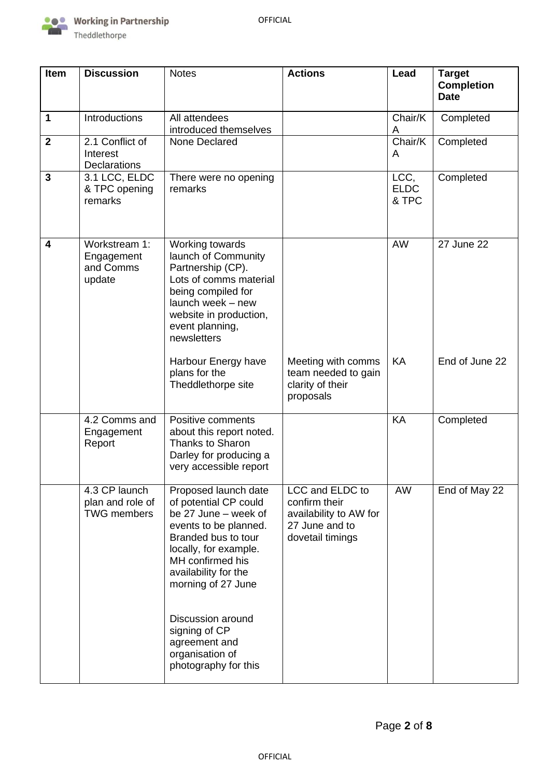

| Item         | <b>Discussion</b>                                       | <b>Notes</b>                                                                                                                                                                                                     | <b>Actions</b>                                                                                   | Lead                         | <b>Target</b><br><b>Completion</b><br><b>Date</b> |
|--------------|---------------------------------------------------------|------------------------------------------------------------------------------------------------------------------------------------------------------------------------------------------------------------------|--------------------------------------------------------------------------------------------------|------------------------------|---------------------------------------------------|
| $\mathbf 1$  | Introductions<br>All attendees<br>introduced themselves |                                                                                                                                                                                                                  |                                                                                                  | Chair/K<br>Α                 | Completed                                         |
| $\mathbf{2}$ | 2.1 Conflict of<br>Interest<br>Declarations             | None Declared                                                                                                                                                                                                    |                                                                                                  | Chair/K<br>A                 | Completed                                         |
| 3            | 3.1 LCC, ELDC<br>& TPC opening<br>remarks               | There were no opening<br>remarks                                                                                                                                                                                 |                                                                                                  | LCC,<br><b>ELDC</b><br>& TPC | Completed                                         |
| 4            | Workstream 1:<br>Engagement<br>and Comms<br>update      | Working towards<br>launch of Community<br>Partnership (CP).<br>Lots of comms material<br>being compiled for<br>launch week - new<br>website in production,<br>event planning,<br>newsletters                     |                                                                                                  | AW                           | 27 June 22                                        |
|              |                                                         | Harbour Energy have<br>plans for the<br>Theddlethorpe site                                                                                                                                                       | Meeting with comms<br>team needed to gain<br>clarity of their<br>proposals                       | KA                           | End of June 22                                    |
|              | 4.2 Comms and<br>Engagement<br>Report                   | Positive comments<br>about this report noted.<br><b>Thanks to Sharon</b><br>Darley for producing a<br>very accessible report                                                                                     |                                                                                                  | <b>KA</b>                    | Completed                                         |
|              | 4.3 CP launch<br>plan and role of<br><b>TWG</b> members | Proposed launch date<br>of potential CP could<br>be 27 June - week of<br>events to be planned.<br>Branded bus to tour<br>locally, for example.<br>MH confirmed his<br>availability for the<br>morning of 27 June | LCC and ELDC to<br>confirm their<br>availability to AW for<br>27 June and to<br>dovetail timings | AW                           | End of May 22                                     |
|              |                                                         | Discussion around<br>signing of CP<br>agreement and<br>organisation of<br>photography for this                                                                                                                   |                                                                                                  |                              |                                                   |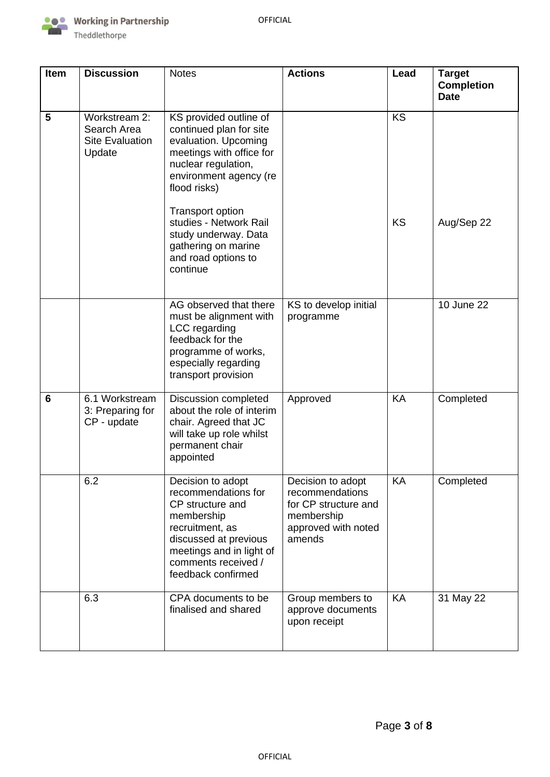

| Item | <b>Discussion</b>                                                | <b>Notes</b>                                                                                                                                                                                                                                                                                           | <b>Actions</b>                                                                                              | Lead            | <b>Target</b><br><b>Completion</b><br><b>Date</b> |
|------|------------------------------------------------------------------|--------------------------------------------------------------------------------------------------------------------------------------------------------------------------------------------------------------------------------------------------------------------------------------------------------|-------------------------------------------------------------------------------------------------------------|-----------------|---------------------------------------------------|
| 5    | Workstream 2:<br>Search Area<br><b>Site Evaluation</b><br>Update | KS provided outline of<br>continued plan for site<br>evaluation. Upcoming<br>meetings with office for<br>nuclear regulation,<br>environment agency (re<br>flood risks)<br>Transport option<br>studies - Network Rail<br>study underway. Data<br>gathering on marine<br>and road options to<br>continue |                                                                                                             | <b>KS</b><br>KS | Aug/Sep 22                                        |
|      |                                                                  | AG observed that there<br>must be alignment with<br>LCC regarding<br>feedback for the<br>programme of works,<br>especially regarding<br>transport provision                                                                                                                                            | KS to develop initial<br>programme                                                                          |                 | 10 June 22                                        |
| 6    | 6.1 Workstream<br>3: Preparing for<br>CP - update                | <b>Discussion completed</b><br>about the role of interim<br>chair. Agreed that JC<br>will take up role whilst<br>permanent chair<br>appointed                                                                                                                                                          | Approved                                                                                                    | KA              | Completed                                         |
|      | 6.2                                                              | Decision to adopt<br>recommendations for<br>CP structure and<br>membership<br>recruitment, as<br>discussed at previous<br>meetings and in light of<br>comments received /<br>feedback confirmed                                                                                                        | Decision to adopt<br>recommendations<br>for CP structure and<br>membership<br>approved with noted<br>amends | KA              | Completed                                         |
|      | 6.3                                                              | CPA documents to be<br>finalised and shared                                                                                                                                                                                                                                                            | Group members to<br>approve documents<br>upon receipt                                                       | KA              | 31 May 22                                         |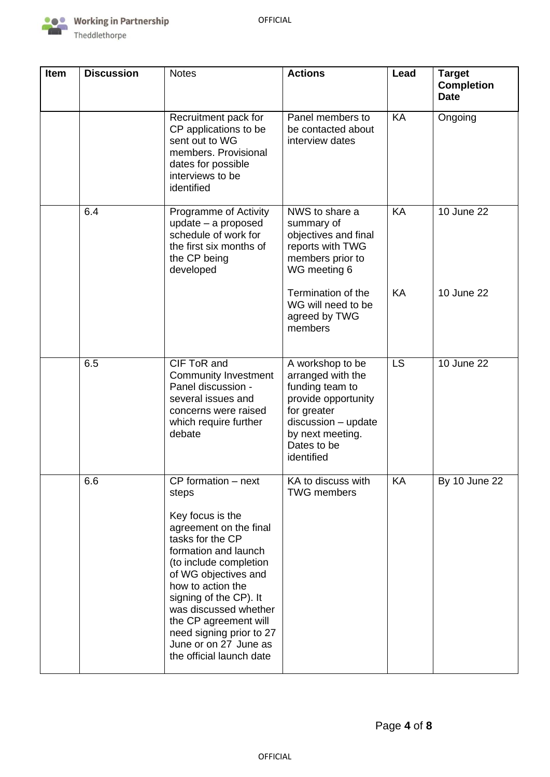

| <b>Item</b> | <b>Discussion</b> | <b>Notes</b>                                                                                                                                                                                                                                                                                                                                               | <b>Actions</b>                                                                                                                                                         | Lead      | <b>Target</b><br><b>Completion</b><br><b>Date</b> |
|-------------|-------------------|------------------------------------------------------------------------------------------------------------------------------------------------------------------------------------------------------------------------------------------------------------------------------------------------------------------------------------------------------------|------------------------------------------------------------------------------------------------------------------------------------------------------------------------|-----------|---------------------------------------------------|
|             |                   | Recruitment pack for<br>CP applications to be<br>sent out to WG<br>members. Provisional<br>dates for possible<br>interviews to be<br>identified                                                                                                                                                                                                            | Panel members to<br>be contacted about<br>interview dates                                                                                                              | <b>KA</b> | Ongoing                                           |
|             | 6.4               | Programme of Activity<br>update - a proposed<br>schedule of work for<br>the first six months of<br>the CP being<br>developed                                                                                                                                                                                                                               | NWS to share a<br>summary of<br>objectives and final<br>reports with TWG<br>members prior to<br>WG meeting 6                                                           | KA        | 10 June 22                                        |
|             |                   |                                                                                                                                                                                                                                                                                                                                                            | Termination of the<br>WG will need to be<br>agreed by TWG<br>members                                                                                                   | KA        | 10 June 22                                        |
|             | 6.5               | CIF ToR and<br><b>Community Investment</b><br>Panel discussion -<br>several issues and<br>concerns were raised<br>which require further<br>debate                                                                                                                                                                                                          | A workshop to be<br>arranged with the<br>funding team to<br>provide opportunity<br>for greater<br>discussion - update<br>by next meeting.<br>Dates to be<br>identified | LS        | 10 June 22                                        |
|             | 6.6               | CP formation - next<br>steps<br>Key focus is the<br>agreement on the final<br>tasks for the CP<br>formation and launch<br>(to include completion<br>of WG objectives and<br>how to action the<br>signing of the CP). It<br>was discussed whether<br>the CP agreement will<br>need signing prior to 27<br>June or on 27 June as<br>the official launch date | KA to discuss with<br><b>TWG</b> members                                                                                                                               | KA        | <b>By 10 June 22</b>                              |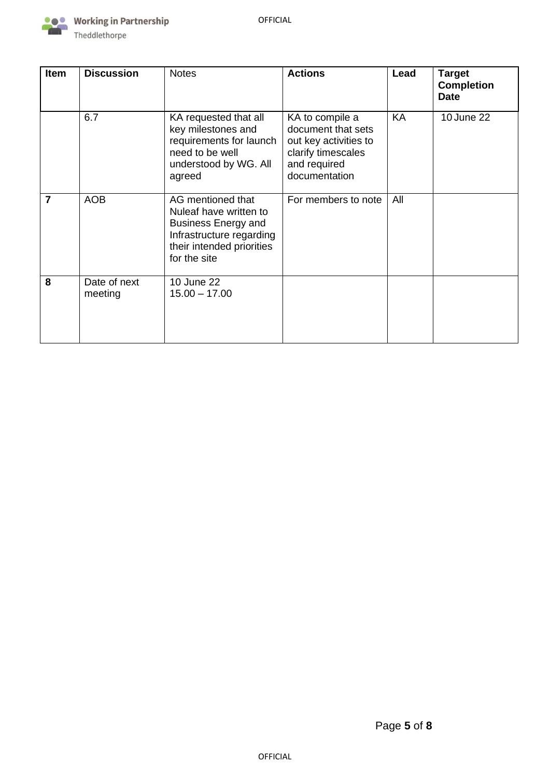

| <b>Item</b>    | <b>Discussion</b>       | <b>Notes</b>                                                                                                                                       | <b>Actions</b>                                                                                                        | Lead | Target<br><b>Completion</b><br><b>Date</b> |
|----------------|-------------------------|----------------------------------------------------------------------------------------------------------------------------------------------------|-----------------------------------------------------------------------------------------------------------------------|------|--------------------------------------------|
|                | 6.7                     | KA requested that all<br>key milestones and<br>requirements for launch<br>need to be well<br>understood by WG. All<br>agreed                       | KA to compile a<br>document that sets<br>out key activities to<br>clarify timescales<br>and required<br>documentation | KA   | 10 June 22                                 |
| $\overline{7}$ | <b>AOB</b>              | AG mentioned that<br>Nuleaf have written to<br><b>Business Energy and</b><br>Infrastructure regarding<br>their intended priorities<br>for the site | For members to note                                                                                                   | All  |                                            |
| 8              | Date of next<br>meeting | 10 June 22<br>$15.00 - 17.00$                                                                                                                      |                                                                                                                       |      |                                            |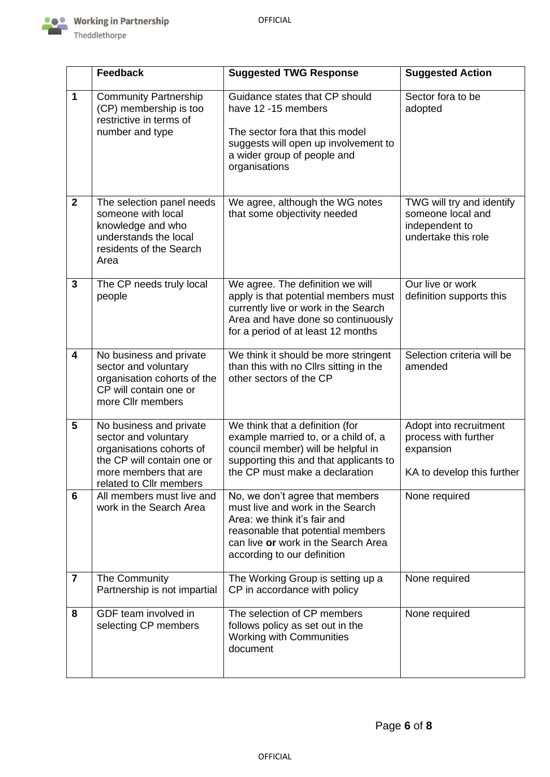

|                         | <b>Feedback</b>                                                                                                                                               | <b>Suggested TWG Response</b>                                                                                                                                                                                  | <b>Suggested Action</b>                                                                   |
|-------------------------|---------------------------------------------------------------------------------------------------------------------------------------------------------------|----------------------------------------------------------------------------------------------------------------------------------------------------------------------------------------------------------------|-------------------------------------------------------------------------------------------|
| 1                       | <b>Community Partnership</b><br>(CP) membership is too<br>restrictive in terms of<br>number and type                                                          | Guidance states that CP should<br>have 12 -15 members<br>The sector fora that this model<br>suggests will open up involvement to<br>a wider group of people and<br>organisations                               | Sector fora to be<br>adopted                                                              |
| $\overline{2}$          | The selection panel needs<br>someone with local<br>knowledge and who<br>understands the local<br>residents of the Search<br>Area                              | We agree, although the WG notes<br>that some objectivity needed                                                                                                                                                | TWG will try and identify<br>someone local and<br>independent to<br>undertake this role   |
| 3                       | The CP needs truly local<br>people                                                                                                                            | We agree. The definition we will<br>apply is that potential members must<br>currently live or work in the Search<br>Area and have done so continuously<br>for a period of at least 12 months                   | Our live or work<br>definition supports this                                              |
| $\overline{\mathbf{4}}$ | No business and private<br>sector and voluntary<br>organisation cohorts of the<br>CP will contain one or<br>more Cllr members                                 | We think it should be more stringent<br>than this with no Cllrs sitting in the<br>other sectors of the CP                                                                                                      | Selection criteria will be<br>amended                                                     |
| 5                       | No business and private<br>sector and voluntary<br>organisations cohorts of<br>the CP will contain one or<br>more members that are<br>related to Cllr members | We think that a definition (for<br>example married to, or a child of, a<br>council member) will be helpful in<br>supporting this and that applicants to<br>the CP must make a declaration                      | Adopt into recruitment<br>process with further<br>expansion<br>KA to develop this further |
| 6                       | All members must live and<br>work in the Search Area                                                                                                          | No, we don't agree that members<br>must live and work in the Search<br>Area: we think it's fair and<br>reasonable that potential members<br>can live or work in the Search Area<br>according to our definition | None required                                                                             |
| $\overline{7}$          | The Community<br>Partnership is not impartial                                                                                                                 | The Working Group is setting up a<br>CP in accordance with policy                                                                                                                                              | None required                                                                             |
| 8                       | GDF team involved in<br>selecting CP members                                                                                                                  | The selection of CP members<br>follows policy as set out in the<br><b>Working with Communities</b><br>document                                                                                                 | None required                                                                             |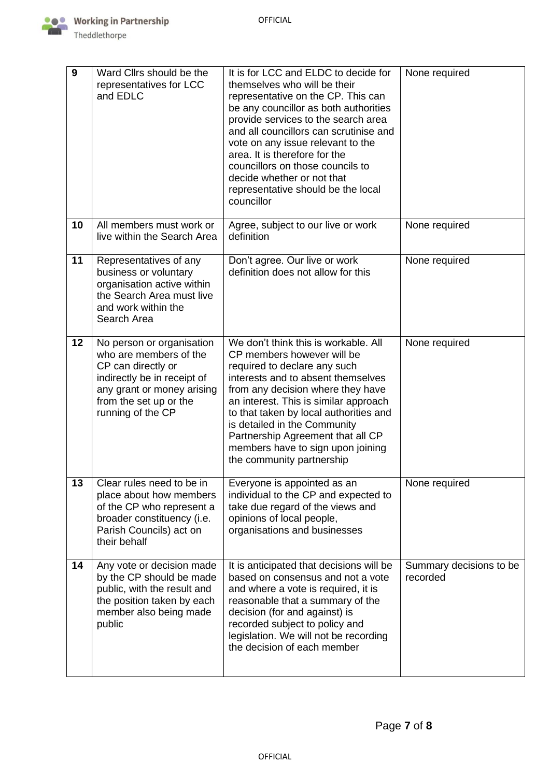

| 9  | Ward Clirs should be the<br>representatives for LCC<br>and EDLC                                                                                                                       | It is for LCC and ELDC to decide for<br>themselves who will be their<br>representative on the CP. This can<br>be any councillor as both authorities<br>provide services to the search area<br>and all councillors can scrutinise and<br>vote on any issue relevant to the<br>area. It is therefore for the<br>councillors on those councils to<br>decide whether or not that<br>representative should be the local<br>councillor | None required                       |
|----|---------------------------------------------------------------------------------------------------------------------------------------------------------------------------------------|----------------------------------------------------------------------------------------------------------------------------------------------------------------------------------------------------------------------------------------------------------------------------------------------------------------------------------------------------------------------------------------------------------------------------------|-------------------------------------|
| 10 | All members must work or<br>live within the Search Area                                                                                                                               | Agree, subject to our live or work<br>definition                                                                                                                                                                                                                                                                                                                                                                                 | None required                       |
| 11 | Representatives of any<br>business or voluntary<br>organisation active within<br>the Search Area must live<br>and work within the<br>Search Area                                      | Don't agree. Our live or work<br>definition does not allow for this                                                                                                                                                                                                                                                                                                                                                              | None required                       |
| 12 | No person or organisation<br>who are members of the<br>CP can directly or<br>indirectly be in receipt of<br>any grant or money arising<br>from the set up or the<br>running of the CP | We don't think this is workable. All<br>CP members however will be<br>required to declare any such<br>interests and to absent themselves<br>from any decision where they have<br>an interest. This is similar approach<br>to that taken by local authorities and<br>is detailed in the Community<br>Partnership Agreement that all CP<br>members have to sign upon joining<br>the community partnership                          | None required                       |
| 13 | Clear rules need to be in<br>place about how members<br>of the CP who represent a<br>broader constituency (i.e.<br>Parish Councils) act on<br>their behalf                            | Everyone is appointed as an<br>individual to the CP and expected to<br>take due regard of the views and<br>opinions of local people,<br>organisations and businesses                                                                                                                                                                                                                                                             | None required                       |
| 14 | Any vote or decision made<br>by the CP should be made<br>public, with the result and<br>the position taken by each<br>member also being made<br>public                                | It is anticipated that decisions will be<br>based on consensus and not a vote<br>and where a vote is required, it is<br>reasonable that a summary of the<br>decision (for and against) is<br>recorded subject to policy and<br>legislation. We will not be recording<br>the decision of each member                                                                                                                              | Summary decisions to be<br>recorded |